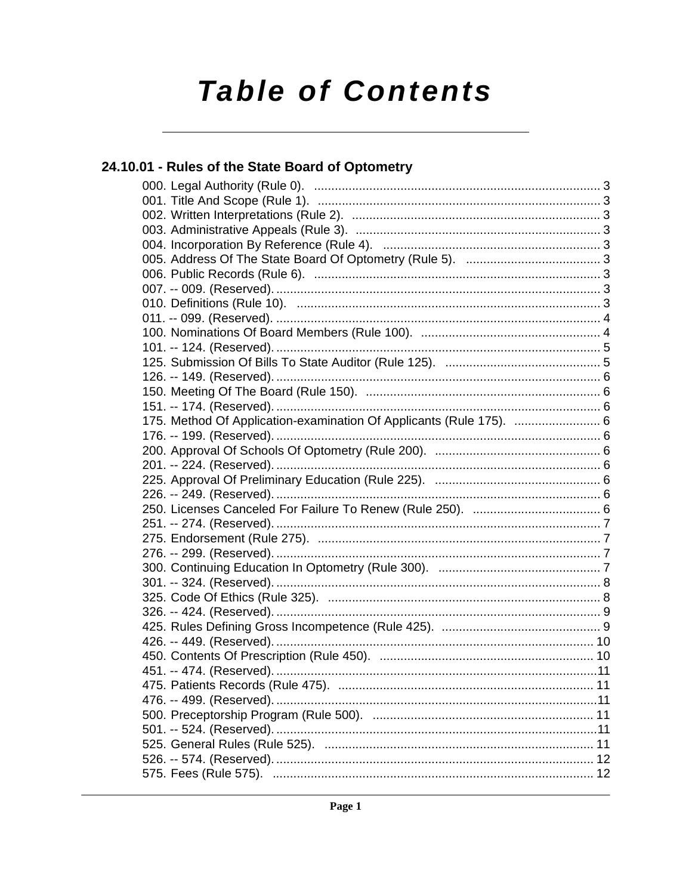# **Table of Contents**

## 24.10.01 - Rules of the State Board of Optometry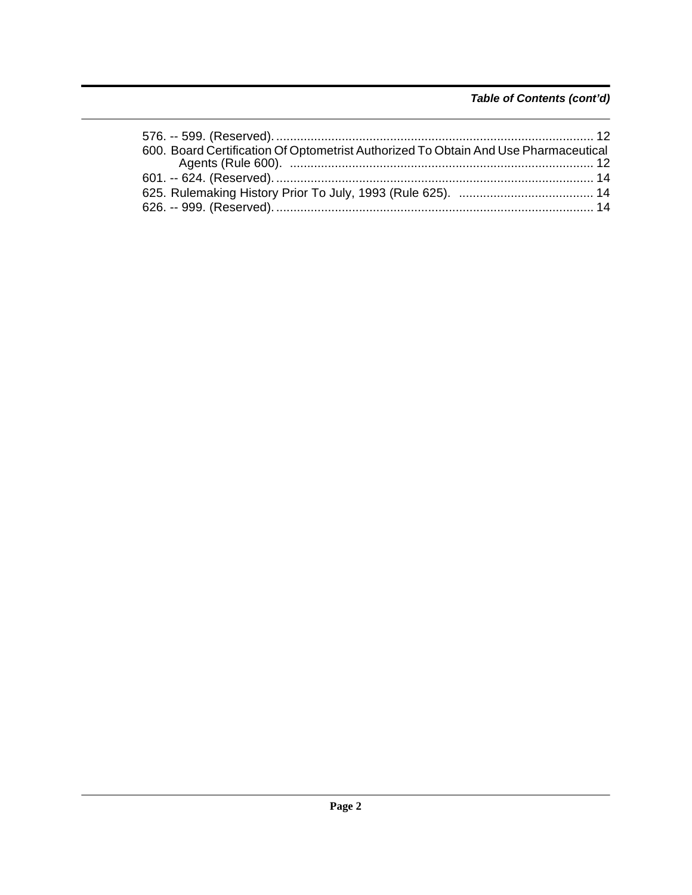## *Table of Contents (cont'd)*

| 600. Board Certification Of Optometrist Authorized To Obtain And Use Pharmaceutical |  |
|-------------------------------------------------------------------------------------|--|
|                                                                                     |  |
|                                                                                     |  |
|                                                                                     |  |
|                                                                                     |  |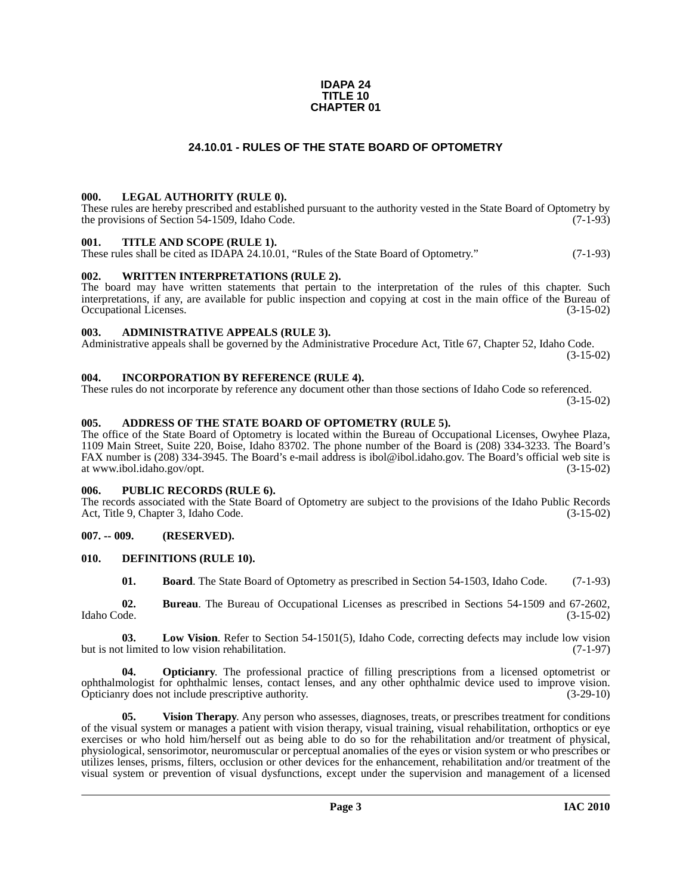### **IDAPA 24 TITLE 10 CHAPTER 01**

### **24.10.01 - RULES OF THE STATE BOARD OF OPTOMETRY**

### <span id="page-2-1"></span><span id="page-2-0"></span>**000. LEGAL AUTHORITY (RULE 0).**

These rules are hereby prescribed and established pursuant to the authority vested in the State Board of Optometry by the provisions of Section 54-1509, Idaho Code. (7-1-93)

### <span id="page-2-2"></span>**001. TITLE AND SCOPE (RULE 1).**

These rules shall be cited as IDAPA 24.10.01, "Rules of the State Board of Optometry." (7-1-93)

### <span id="page-2-3"></span>**002. WRITTEN INTERPRETATIONS (RULE 2).**

The board may have written statements that pertain to the interpretation of the rules of this chapter. Such interpretations, if any, are available for public inspection and copying at cost in the main office of the Bureau of Occupational Licenses. (3-15-02) Occupational Licenses.

### <span id="page-2-4"></span>**003. ADMINISTRATIVE APPEALS (RULE 3).**

Administrative appeals shall be governed by the Administrative Procedure Act, Title 67, Chapter 52, Idaho Code. (3-15-02)

### <span id="page-2-5"></span>**004. INCORPORATION BY REFERENCE (RULE 4).**

These rules do not incorporate by reference any document other than those sections of Idaho Code so referenced. (3-15-02)

### <span id="page-2-6"></span>**005. ADDRESS OF THE STATE BOARD OF OPTOMETRY (RULE 5).**

[The office of the State Board of Optometry is located within the Bureau of Occupational Licenses, Owyhee Plaza,](http://ibol.idaho.gov/opt.htm) 1109 Main Street, Suite 220, Boise, Idaho 83702. The phone number of the Board is (208) 334-3233. The Board's FAX number is (208) 334-3945. The Board's e-mail address is ibol@ibol.idaho.gov. The Board's official web site is at www.ibol.idaho.gov/opt. (3-15-02)

### <span id="page-2-7"></span>**006. PUBLIC RECORDS (RULE 6).**

The records associated with the State Board of Optometry are subject to the provisions of the Idaho Public Records<br>Act, Title 9, Chapter 3, Idaho Code. (3-15-02) Act, Title 9, Chapter 3, Idaho Code.

### <span id="page-2-8"></span>**007. -- 009. (RESERVED).**

### <span id="page-2-9"></span>**010. DEFINITIONS (RULE 10).**

<span id="page-2-13"></span><span id="page-2-12"></span><span id="page-2-11"></span><span id="page-2-10"></span>**01. Board**. The State Board of Optometry as prescribed in Section 54-1503, Idaho Code. (7-1-93)

**02. Bureau**. The Bureau of Occupational Licenses as prescribed in Sections 54-1509 and 67-2602, Idaho Code. (3-15-02)

**03. Low Vision**. Refer to Section 54-1501(5), Idaho Code, correcting defects may include low vision but is not limited to low vision rehabilitation. (7-1-97)

<span id="page-2-14"></span>**04. Opticianry**. The professional practice of filling prescriptions from a licensed optometrist or ophthalmologist for ophthalmic lenses, contact lenses, and any other ophthalmic device used to improve vision. Opticianry does not include prescriptive authority. (3-29-10)

<span id="page-2-15"></span>**05.** Vision Therapy. Any person who assesses, diagnoses, treats, or prescribes treatment for conditions of the visual system or manages a patient with vision therapy, visual training, visual rehabilitation, orthoptics or eye exercises or who hold him/herself out as being able to do so for the rehabilitation and/or treatment of physical, physiological, sensorimotor, neuromuscular or perceptual anomalies of the eyes or vision system or who prescribes or utilizes lenses, prisms, filters, occlusion or other devices for the enhancement, rehabilitation and/or treatment of the visual system or prevention of visual dysfunctions, except under the supervision and management of a licensed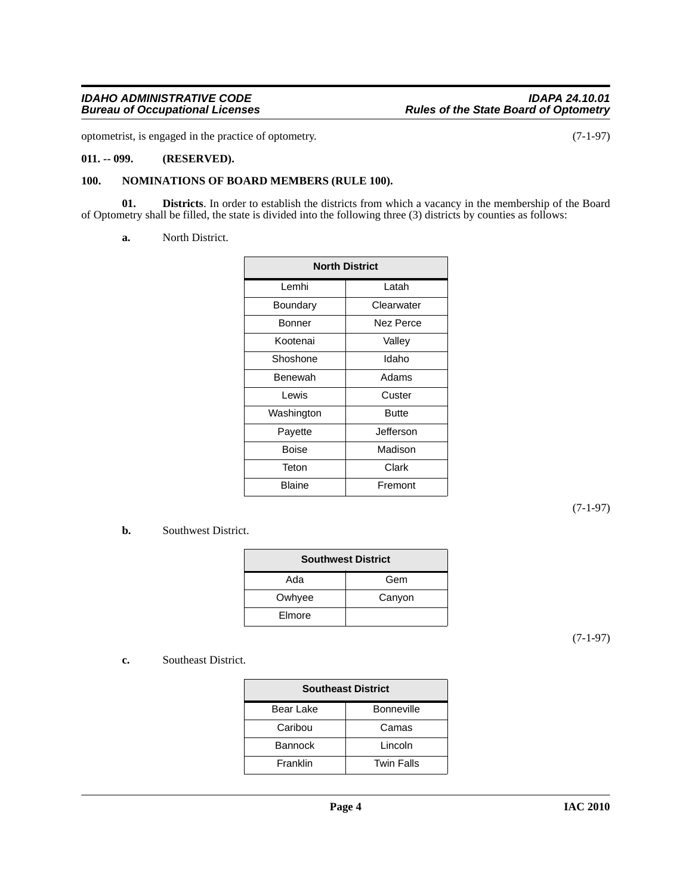optometrist, is engaged in the practice of optometry. (7-1-97)

### <span id="page-3-0"></span>**011. -- 099. (RESERVED).**

### <span id="page-3-3"></span><span id="page-3-1"></span>**100. NOMINATIONS OF BOARD MEMBERS (RULE 100).**

**01. Districts**. In order to establish the districts from which a vacancy in the membership of the Board of Optometry shall be filled, the state is divided into the following three (3) districts by counties as follows:

### <span id="page-3-2"></span>**a.** North District.

| <b>North District</b> |              |  |
|-----------------------|--------------|--|
| Lemhi                 | Latah        |  |
| Boundary              | Clearwater   |  |
| Bonner                | Nez Perce    |  |
| Kootenai              | Valley       |  |
| Shoshone              | Idaho        |  |
| Benewah               | Adams        |  |
| Lewis                 | Custer       |  |
| Washington            | <b>Butte</b> |  |
| Payette               | Jefferson    |  |
| Boise                 | Madison      |  |
| Teton                 | Clark        |  |
| <b>Blaine</b>         | Fremont      |  |

(7-1-97)

## **b.** Southwest District.

| <b>Southwest District</b> |        |  |
|---------------------------|--------|--|
| Ada                       | Gem    |  |
| Owhyee                    | Canyon |  |
| Elmore                    |        |  |

(7-1-97)

**c.** Southeast District.

| <b>Southeast District</b> |                   |  |
|---------------------------|-------------------|--|
| Bear Lake                 | <b>Bonneville</b> |  |
| Caribou                   | Camas             |  |
| <b>Bannock</b>            | Lincoln           |  |
| Franklin                  | <b>Twin Falls</b> |  |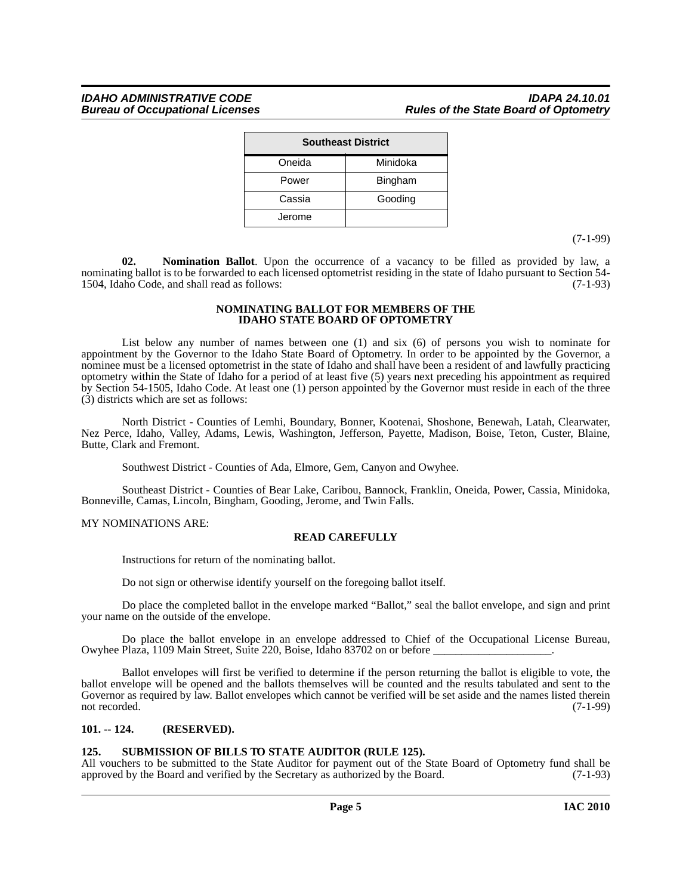| <b>Southeast District</b> |                |  |
|---------------------------|----------------|--|
| Oneida                    | Minidoka       |  |
| Power                     | <b>Bingham</b> |  |
| Cassia                    | Gooding        |  |
| Jerome                    |                |  |

(7-1-99)

**02. Nomination Ballot**. Upon the occurrence of a vacancy to be filled as provided by law, a nominating ballot is to be forwarded to each licensed optometrist residing in the state of Idaho pursuant to Section 54- 1504, Idaho Code, and shall read as follows: (7-1-93)

### <span id="page-4-2"></span>**NOMINATING BALLOT FOR MEMBERS OF THE IDAHO STATE BOARD OF OPTOMETRY**

List below any number of names between one (1) and six (6) of persons you wish to nominate for appointment by the Governor to the Idaho State Board of Optometry. In order to be appointed by the Governor, a nominee must be a licensed optometrist in the state of Idaho and shall have been a resident of and lawfully practicing optometry within the State of Idaho for a period of at least five (5) years next preceding his appointment as required by Section 54-1505, Idaho Code. At least one (1) person appointed by the Governor must reside in each of the three (3) districts which are set as follows:

North District - Counties of Lemhi, Boundary, Bonner, Kootenai, Shoshone, Benewah, Latah, Clearwater, Nez Perce, Idaho, Valley, Adams, Lewis, Washington, Jefferson, Payette, Madison, Boise, Teton, Custer, Blaine, Butte, Clark and Fremont.

Southwest District - Counties of Ada, Elmore, Gem, Canyon and Owyhee.

Southeast District - Counties of Bear Lake, Caribou, Bannock, Franklin, Oneida, Power, Cassia, Minidoka, Bonneville, Camas, Lincoln, Bingham, Gooding, Jerome, and Twin Falls.

### MY NOMINATIONS ARE:

### **READ CAREFULLY**

Instructions for return of the nominating ballot.

Do not sign or otherwise identify yourself on the foregoing ballot itself.

Do place the completed ballot in the envelope marked "Ballot," seal the ballot envelope, and sign and print your name on the outside of the envelope.

Do place the ballot envelope in an envelope addressed to Chief of the Occupational License Bureau, Owyhee Plaza, 1109 Main Street, Suite 220, Boise, Idaho 83702 on or before

Ballot envelopes will first be verified to determine if the person returning the ballot is eligible to vote, the ballot envelope will be opened and the ballots themselves will be counted and the results tabulated and sent to the Governor as required by law. Ballot envelopes which cannot be verified will be set aside and the names listed therein not recorded. (7-1-99) not recorded. (7-1-99)

### <span id="page-4-0"></span>**101. -- 124. (RESERVED).**

### <span id="page-4-3"></span><span id="page-4-1"></span>**125. SUBMISSION OF BILLS TO STATE AUDITOR (RULE 125).**

All vouchers to be submitted to the State Auditor for payment out of the State Board of Optometry fund shall be approved by the Board and verified by the Secretary as authorized by the Board. (7-1-93)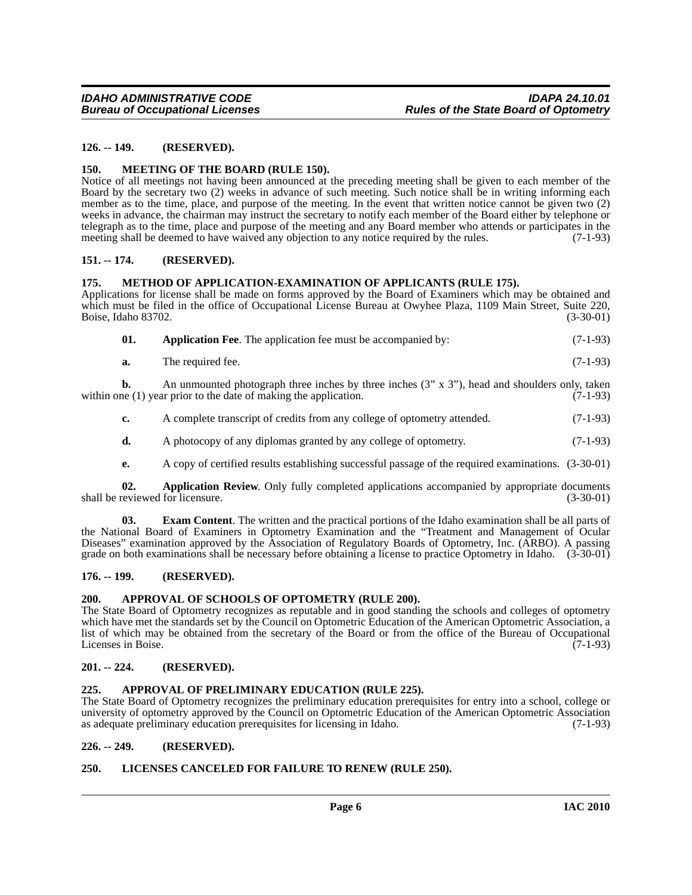### <span id="page-5-0"></span>**126. -- 149. (RESERVED).**

### <span id="page-5-16"></span><span id="page-5-1"></span>**150. MEETING OF THE BOARD (RULE 150).**

Notice of all meetings not having been announced at the preceding meeting shall be given to each member of the Board by the secretary two (2) weeks in advance of such meeting. Such notice shall be in writing informing each member as to the time, place, and purpose of the meeting. In the event that written notice cannot be given two (2) weeks in advance, the chairman may instruct the secretary to notify each member of the Board either by telephone or telegraph as to the time, place and purpose of the meeting and any Board member who attends or participates in the meeting shall be deemed to have waived any objection to any notice required by the rules. (7-1-93)

### <span id="page-5-2"></span>**151. -- 174. (RESERVED).**

### <span id="page-5-17"></span><span id="page-5-3"></span>**175. METHOD OF APPLICATION-EXAMINATION OF APPLICANTS (RULE 175).**

Applications for license shall be made on forms approved by the Board of Examiners which may be obtained and which must be filed in the office of Occupational License Bureau at Owyhee Plaza, 1109 Main Street, Suite 220,<br>Boise, Idaho 83702. (3-30-01) Boise, Idaho 83702.

<span id="page-5-10"></span>

**a.** The required fee. (7-1-93)

**b.** An unmounted photograph three inches by three inches (3" x 3"), head and shoulders only, taken within one (1) year prior to the date of making the application. (7-1-93)

- **c.** A complete transcript of credits from any college of optometry attended.  $(7-1-93)$
- **d.** A photocopy of any diplomas granted by any college of optometry. (7-1-93)
- <span id="page-5-14"></span><span id="page-5-11"></span>**e.** A copy of certified results establishing successful passage of the required examinations. (3-30-01)

**02. Application Review**. Only fully completed applications accompanied by appropriate documents shall be reviewed for licensure. (3-30-01)

**03. Exam Content**. The written and the practical portions of the Idaho examination shall be all parts of the National Board of Examiners in Optometry Examination and the "Treatment and Management of Ocular Diseases" examination approved by the Association of Regulatory Boards of Optometry, Inc. (ARBO). A passing grade on both examinations shall be necessary before obtaining a license to practice Optometry in Idaho. (3-30-01)

### <span id="page-5-4"></span>**176. -- 199. (RESERVED).**

### <span id="page-5-13"></span><span id="page-5-5"></span>**200. APPROVAL OF SCHOOLS OF OPTOMETRY (RULE 200).**

The State Board of Optometry recognizes as reputable and in good standing the schools and colleges of optometry which have met the standards set by the Council on Optometric Education of the American Optometric Association, a list of which may be obtained from the secretary of the Board or from the office of the Bureau of Occupational<br>Licenses in Boise. (7-1-93) Licenses in Boise.

### <span id="page-5-6"></span>**201. -- 224. (RESERVED).**

### <span id="page-5-12"></span><span id="page-5-7"></span>**225. APPROVAL OF PRELIMINARY EDUCATION (RULE 225).**

The State Board of Optometry recognizes the preliminary education prerequisites for entry into a school, college or university of optometry approved by the Council on Optometric Education of the American Optometric Association as adequate preliminary education prerequisites for licensing in Idaho. (7-1-93) as adequate preliminary education prerequisites for licensing in Idaho.

### <span id="page-5-8"></span>**226. -- 249. (RESERVED).**

### <span id="page-5-15"></span><span id="page-5-9"></span>**250. LICENSES CANCELED FOR FAILURE TO RENEW (RULE 250).**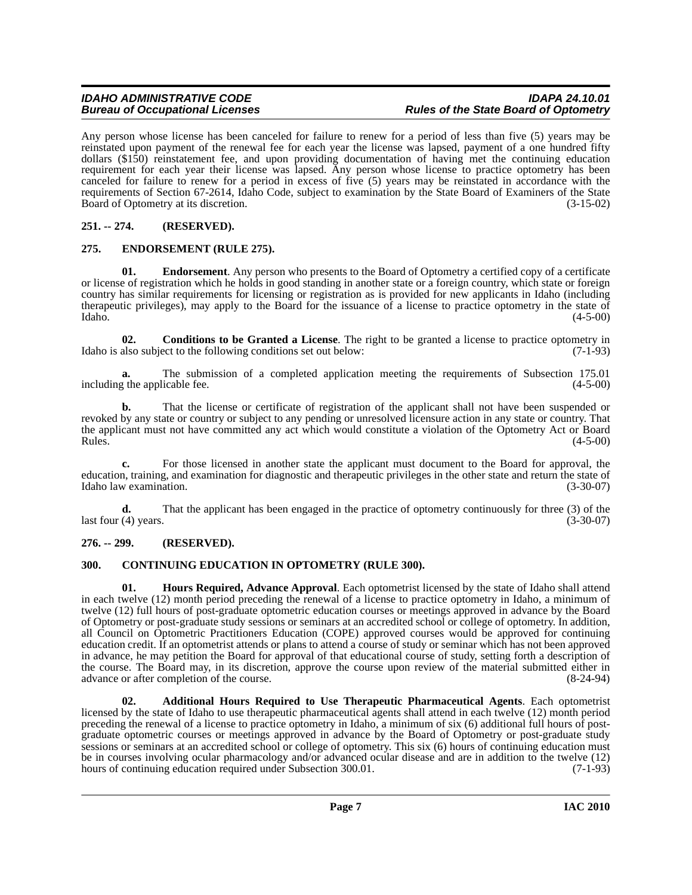Any person whose license has been canceled for failure to renew for a period of less than five (5) years may be reinstated upon payment of the renewal fee for each year the license was lapsed, payment of a one hundred fifty dollars (\$150) reinstatement fee, and upon providing documentation of having met the continuing education requirement for each year their license was lapsed. Any person whose license to practice optometry has been canceled for failure to renew for a period in excess of five (5) years may be reinstated in accordance with the requirements of Section 67-2614, Idaho Code, subject to examination by the State Board of Examiners of the State<br>Board of Optometry at its discretion. (3-15-02) Board of Optometry at its discretion.

## <span id="page-6-0"></span>**251. -- 274. (RESERVED).**

### <span id="page-6-7"></span><span id="page-6-1"></span>**275. ENDORSEMENT (RULE 275).**

**01.** Endorsement. Any person who presents to the Board of Optometry a certified copy of a certificate or license of registration which he holds in good standing in another state or a foreign country, which state or foreign country has similar requirements for licensing or registration as is provided for new applicants in Idaho (including therapeutic privileges), may apply to the Board for the issuance of a license to practice optometry in the state of Idaho.  $(4-5-00)$  $\lambda$ Idaho. (4-5-00)

<span id="page-6-5"></span>**02. Conditions to be Granted a License**. The right to be granted a license to practice optometry in Idaho is also subject to the following conditions set out below:  $(7-1-93)$ 

**a.** The submission of a completed application meeting the requirements of Subsection 175.01 g the applicable fee. (4-5-00) including the applicable fee.

**b.** That the license or certificate of registration of the applicant shall not have been suspended or revoked by any state or country or subject to any pending or unresolved licensure action in any state or country. That the applicant must not have committed any act which would constitute a violation of the Optometry Act or Board<br>Rules. (4-5-00)  $Rules.$  (4-5-00)

**c.** For those licensed in another state the applicant must document to the Board for approval, the education, training, and examination for diagnostic and therapeutic privileges in the other state and return the state of Idaho law examination. (3-30-07)

**d.** That the applicant has been engaged in the practice of optometry continuously for three (3) of the (4) years. (3-30-07) last four  $(4)$  years.

### <span id="page-6-2"></span>**276. -- 299. (RESERVED).**

### <span id="page-6-6"></span><span id="page-6-3"></span>**300. CONTINUING EDUCATION IN OPTOMETRY (RULE 300).**

<span id="page-6-8"></span>**01. Hours Required, Advance Approval**. Each optometrist licensed by the state of Idaho shall attend in each twelve (12) month period preceding the renewal of a license to practice optometry in Idaho, a minimum of twelve (12) full hours of post-graduate optometric education courses or meetings approved in advance by the Board of Optometry or post-graduate study sessions or seminars at an accredited school or college of optometry. In addition, all Council on Optometric Practitioners Education (COPE) approved courses would be approved for continuing education credit. If an optometrist attends or plans to attend a course of study or seminar which has not been approved in advance, he may petition the Board for approval of that educational course of study, setting forth a description of the course. The Board may, in its discretion, approve the course upon review of the material submitted either in advance or after completion of the course. (8-24-94) advance or after completion of the course.

<span id="page-6-4"></span>**02. Additional Hours Required to Use Therapeutic Pharmaceutical Agents**. Each optometrist licensed by the state of Idaho to use therapeutic pharmaceutical agents shall attend in each twelve (12) month period preceding the renewal of a license to practice optometry in Idaho, a minimum of six (6) additional full hours of postgraduate optometric courses or meetings approved in advance by the Board of Optometry or post-graduate study sessions or seminars at an accredited school or college of optometry. This six (6) hours of continuing education must be in courses involving ocular pharmacology and/or advanced ocular disease and are in addition to the twelve (12) hours of continuing education required under Subsection 300.01. (7-1-93)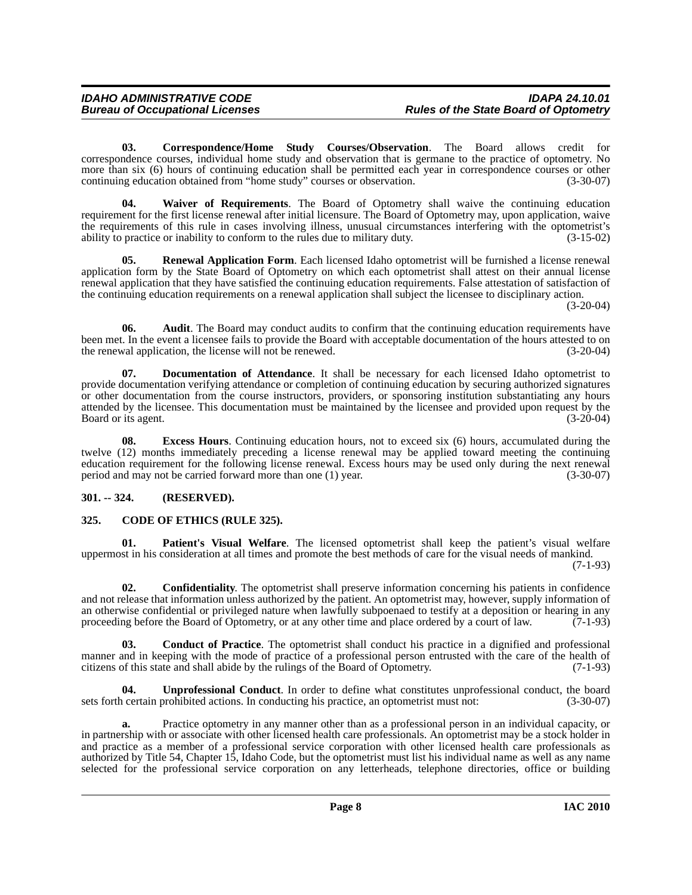<span id="page-7-5"></span>**03. Correspondence/Home Study Courses/Observation**. The Board allows credit for correspondence courses, individual home study and observation that is germane to the practice of optometry. No more than six (6) hours of continuing education shall be permitted each year in correspondence courses or other continuing education obtained from "home study" courses or observation. (3-30-07)

<span id="page-7-10"></span>**04. Waiver of Requirements**. The Board of Optometry shall waive the continuing education requirement for the first license renewal after initial licensure. The Board of Optometry may, upon application, waive the requirements of this rule in cases involving illness, unusual circumstances interfering with the optometrist's ability to practice or inability to conform to the rules due to military duty. (3-15-02)

<span id="page-7-8"></span>**05. Renewal Application Form**. Each licensed Idaho optometrist will be furnished a license renewal application form by the State Board of Optometry on which each optometrist shall attest on their annual license renewal application that they have satisfied the continuing education requirements. False attestation of satisfaction of the continuing education requirements on a renewal application shall subject the licensee to disciplinary action.

(3-20-04)

**06.** Audit. The Board may conduct audits to confirm that the continuing education requirements have been met. In the event a licensee fails to provide the Board with acceptable documentation of the hours attested to on the renewal application, the license will not be renewed. (3-20-04)

<span id="page-7-6"></span>**07. Documentation of Attendance**. It shall be necessary for each licensed Idaho optometrist to provide documentation verifying attendance or completion of continuing education by securing authorized signatures or other documentation from the course instructors, providers, or sponsoring institution substantiating any hours attended by the licensee. This documentation must be maintained by the licensee and provided upon request by the Board or its agent. (3-20-04) Board or its agent.

**08. Excess Hours**. Continuing education hours, not to exceed six (6) hours, accumulated during the twelve (12) months immediately preceding a license renewal may be applied toward meeting the continuing education requirement for the following license renewal. Excess hours may be used only during the next renewal period and may not be carried forward more than one (1) year. (3-30-07)

## <span id="page-7-0"></span>**301. -- 324. (RESERVED).**

## <span id="page-7-2"></span><span id="page-7-1"></span>**325. CODE OF ETHICS (RULE 325).**

<span id="page-7-7"></span>**Patient's Visual Welfare**. The licensed optometrist shall keep the patient's visual welfare uppermost in his consideration at all times and promote the best methods of care for the visual needs of mankind.

(7-1-93)

<span id="page-7-4"></span>**02. Confidentiality**. The optometrist shall preserve information concerning his patients in confidence and not release that information unless authorized by the patient. An optometrist may, however, supply information of an otherwise confidential or privileged nature when lawfully subpoenaed to testify at a deposition or hearing in any proceeding before the Board of Optometry, or at any other time and place ordered by a court of law. (7-1-93)

<span id="page-7-3"></span>**03. Conduct of Practice**. The optometrist shall conduct his practice in a dignified and professional manner and in keeping with the mode of practice of a professional person entrusted with the care of the health of citizens of this state and shall abide by the rulings of the Board of Optometry. (7-1-93)

<span id="page-7-9"></span>**04. Unprofessional Conduct**. In order to define what constitutes unprofessional conduct, the board sets forth certain prohibited actions. In conducting his practice, an optometrist must not: (3-30-07)

**a.** Practice optometry in any manner other than as a professional person in an individual capacity, or in partnership with or associate with other licensed health care professionals. An optometrist may be a stock holder in and practice as a member of a professional service corporation with other licensed health care professionals as authorized by Title 54, Chapter 15, Idaho Code, but the optometrist must list his individual name as well as any name selected for the professional service corporation on any letterheads, telephone directories, office or building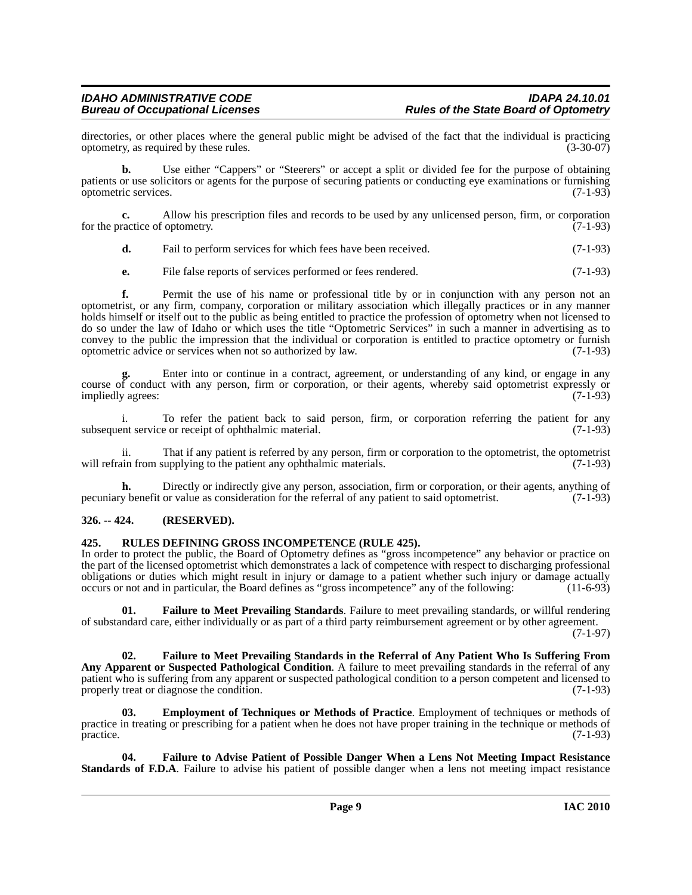## *IDAHO ADMINISTRATIVE CODE IDAPA 24.10.01*

directories, or other places where the general public might be advised of the fact that the individual is practicing optometry, as required by these rules. (3-30-07) optometry, as required by these rules.

**b.** Use either "Cappers" or "Steerers" or accept a split or divided fee for the purpose of obtaining patients or use solicitors or agents for the purpose of securing patients or conducting eye examinations or furnishing optometric services. (7-1-93)

**c.** Allow his prescription files and records to be used by any unlicensed person, firm, or corporation for the practice of optometry. (7-1-93)

**d.** Fail to perform services for which fees have been received. (7-1-93)

**e.** File false reports of services performed or fees rendered. (7-1-93)

**f.** Permit the use of his name or professional title by or in conjunction with any person not an optometrist, or any firm, company, corporation or military association which illegally practices or in any manner holds himself or itself out to the public as being entitled to practice the profession of optometry when not licensed to do so under the law of Idaho or which uses the title "Optometric Services" in such a manner in advertising as to convey to the public the impression that the individual or corporation is entitled to practice optometry or furnish optometric advice or services when not so authorized by law. (7-1-93)

**g.** Enter into or continue in a contract, agreement, or understanding of any kind, or engage in any course of conduct with any person, firm or corporation, or their agents, whereby said optometrist expressly or impliedly agrees: (7-1-93)

i. To refer the patient back to said person, firm, or corporation referring the patient for any subsequent service or receipt of ophthalmic material. (7-1-93)

ii. That if any patient is referred by any person, firm or corporation to the optometrist, the optometrist will refrain from supplying to the patient any ophthalmic materials. (7-1-93)

**h.** Directly or indirectly give any person, association, firm or corporation, or their agents, anything of pecuniary benefit or value as consideration for the referral of any patient to said optometrist. (7-1-93)

### <span id="page-8-0"></span>**326. -- 424. (RESERVED).**

### <span id="page-8-6"></span><span id="page-8-1"></span>**425. RULES DEFINING GROSS INCOMPETENCE (RULE 425).**

In order to protect the public, the Board of Optometry defines as "gross incompetence" any behavior or practice on the part of the licensed optometrist which demonstrates a lack of competence with respect to discharging professional obligations or duties which might result in injury or damage to a patient whether such injury or damage actually occurs or not and in particular, the Board defines as "gross incompetence" any of the following: (11-6-93)

<span id="page-8-5"></span>**01. Failure to Meet Prevailing Standards**. Failure to meet prevailing standards, or willful rendering of substandard care, either individually or as part of a third party reimbursement agreement or by other agreement. (7-1-97)

<span id="page-8-4"></span>**02. Failure to Meet Prevailing Standards in the Referral of Any Patient Who Is Suffering From Any Apparent or Suspected Pathological Condition**. A failure to meet prevailing standards in the referral of any patient who is suffering from any apparent or suspected pathological condition to a person competent and licensed to properly treat or diagnose the condition. (7-1-93) properly treat or diagnose the condition.

<span id="page-8-2"></span>**Employment of Techniques or Methods of Practice**. Employment of techniques or methods of practice in treating or prescribing for a patient when he does not have proper training in the technique or methods of practice. (7-1-93)

<span id="page-8-3"></span>**04. Failure to Advise Patient of Possible Danger When a Lens Not Meeting Impact Resistance Standards of F.D.A**. Failure to advise his patient of possible danger when a lens not meeting impact resistance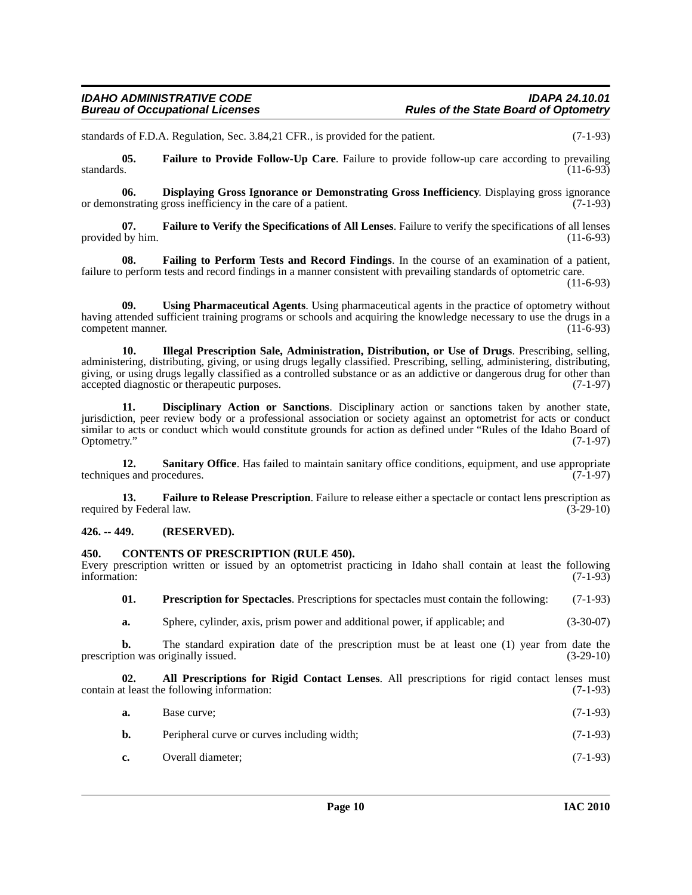standards of F.D.A. Regulation, Sec. 3.84,21 CFR., is provided for the patient. (7-1-93)

<span id="page-9-7"></span>**05.** Failure to Provide Follow-Up Care. Failure to provide follow-up care according to prevailing standards. (11-6-93) standards.  $(11-6-93)$ 

<span id="page-9-5"></span>**06. Displaying Gross Ignorance or Demonstrating Gross Inefficiency**. Displaying gross ignorance or **Demonstrating Gross Inefficiency**. Displaying gross ignorance of a patient. or demonstrating gross inefficiency in the care of a patient.

<span id="page-9-9"></span>**07. Failure to Verify the Specifications of All Lenses**. Failure to verify the specifications of all lenses provided by him.  $(11-6-93)$ 

<span id="page-9-6"></span>**08. Failing to Perform Tests and Record Findings**. In the course of an examination of a patient, failure to perform tests and record findings in a manner consistent with prevailing standards of optometric care.

(11-6-93)

<span id="page-9-13"></span>**09. Using Pharmaceutical Agents**. Using pharmaceutical agents in the practice of optometry without having attended sufficient training programs or schools and acquiring the knowledge necessary to use the drugs in a competent manner. (11-6-93)

<span id="page-9-10"></span>**10. Illegal Prescription Sale, Administration, Distribution, or Use of Drugs**. Prescribing, selling, administering, distributing, giving, or using drugs legally classified. Prescribing, selling, administering, distributing, giving, or using drugs legally classified as a controlled substance or as an addictive or dangerous drug for other than accepted diagnostic or therapeutic purposes. (7-1-97) accepted diagnostic or therapeutic purposes.

<span id="page-9-4"></span>**11. Disciplinary Action or Sanctions**. Disciplinary action or sanctions taken by another state, jurisdiction, peer review body or a professional association or society against an optometrist for acts or conduct similar to acts or conduct which would constitute grounds for action as defined under "Rules of the Idaho Board of Optometry." (7-1-97) Optometry." (7-1-97)

<span id="page-9-12"></span>**12. Sanitary Office**. Has failed to maintain sanitary office conditions, equipment, and use appropriate es and procedures. (7-1-97) techniques and procedures.

<span id="page-9-8"></span>**13. Failure to Release Prescription**. Failure to release either a spectacle or contact lens prescription as required by Federal law. (3-29-10)

### <span id="page-9-0"></span>**426. -- 449. (RESERVED).**

### <span id="page-9-3"></span><span id="page-9-1"></span>**450. CONTENTS OF PRESCRIPTION (RULE 450).**

Every prescription written or issued by an optometrist practicing in Idaho shall contain at least the following information: (7-1-93) information: (7-1-93)

<span id="page-9-11"></span>**01. Prescription for Spectacles**. Prescriptions for spectacles must contain the following: (7-1-93)

**a.** Sphere, cylinder, axis, prism power and additional power, if applicable; and (3-30-07)

**b.** The standard expiration date of the prescription must be at least one (1) year from date the prescription was originally issued. (3-29-10)

**02.** All Prescriptions for Rigid Contact Lenses. All prescriptions for rigid contact lenses must the following information: (7-1-93) contain at least the following information:

<span id="page-9-2"></span>

| a. | Base curve:                                 | $(7-1-93)$ |
|----|---------------------------------------------|------------|
| b. | Peripheral curve or curves including width; | $(7-1-93)$ |

**c.** Overall diameter; (7-1-93)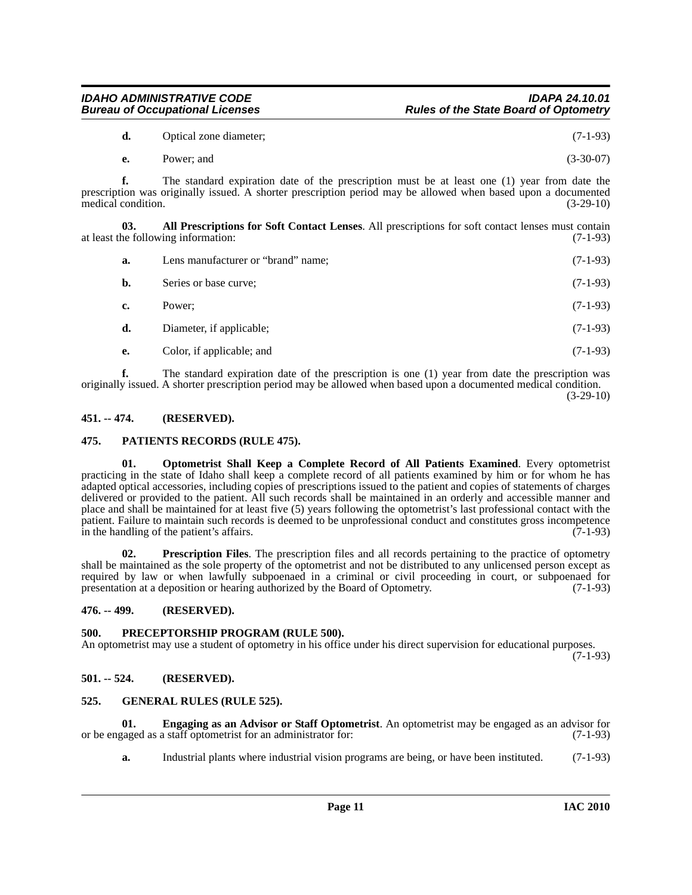| The standard expiration date of the prescription is one (1) year from date the prescription was                 |  |
|-----------------------------------------------------------------------------------------------------------------|--|
| originally issued. A shorter prescription period may be allowed when based upon a documented medical condition. |  |
|                                                                                                                 |  |

<span id="page-10-0"></span>**451. -- 474. (RESERVED).**

### <span id="page-10-10"></span><span id="page-10-1"></span>**475. PATIENTS RECORDS (RULE 475).**

<span id="page-10-9"></span>**01. Optometrist Shall Keep a Complete Record of All Patients Examined**. Every optometrist practicing in the state of Idaho shall keep a complete record of all patients examined by him or for whom he has adapted optical accessories, including copies of prescriptions issued to the patient and copies of statements of charges delivered or provided to the patient. All such records shall be maintained in an orderly and accessible manner and place and shall be maintained for at least five (5) years following the optometrist's last professional contact with the patient. Failure to maintain such records is deemed to be unprofessional conduct and constitutes gross incompetence in the handling of the patient's affairs. (7-1-93)

<span id="page-10-12"></span>**02. Prescription Files**. The prescription files and all records pertaining to the practice of optometry shall be maintained as the sole property of the optometrist and not be distributed to any unlicensed person except as required by law or when lawfully subpoenaed in a criminal or civil proceeding in court, or subpoenaed for presentation at a deposition or hearing authorized by the Board of Optometry. (7-1-93)

<span id="page-10-2"></span>**476. -- 499. (RESERVED).**

## <span id="page-10-11"></span><span id="page-10-3"></span>**500. PRECEPTORSHIP PROGRAM (RULE 500).**

An optometrist may use a student of optometry in his office under his direct supervision for educational purposes.  $(7-1-93)$ 

<span id="page-10-4"></span>**501. -- 524. (RESERVED).**

## <span id="page-10-8"></span><span id="page-10-5"></span>**525. GENERAL RULES (RULE 525).**

**01. Engaging as an Advisor or Staff Optometrist**. An optometrist may be engaged as an advisor for or be engaged as a staff optometrist for an administrator for: (7-1-93)

<span id="page-10-7"></span>**a.** Industrial plants where industrial vision programs are being, or have been instituted. (7-1-93)

 $(3-29-10)$ 

- **d.** Optical zone diameter; (7-1-93)
- **e.** Power; and (3-30-07)

**f.** The standard expiration date of the prescription must be at least one (1) year from date the prescription was originally issued. A shorter prescription period may be allowed when based upon a documented medical condition. (3-29-10) medical condition.

**03. All Prescriptions for Soft Contact Lenses**. All prescriptions for soft contact lenses must contain at least the following information: (7-1-93)

<span id="page-10-6"></span>

| а.        | Lens manufacturer or "brand" name; | $(7-1-93)$ |
|-----------|------------------------------------|------------|
| b.        | Series or base curve;              | $(7-1-93)$ |
| c.        | Power:                             | $(7-1-93)$ |
| d.        | Diameter, if applicable;           | $(7-1-93)$ |
| <b>e.</b> | Color, if applicable; and          | $(7-1-93)$ |
|           |                                    |            |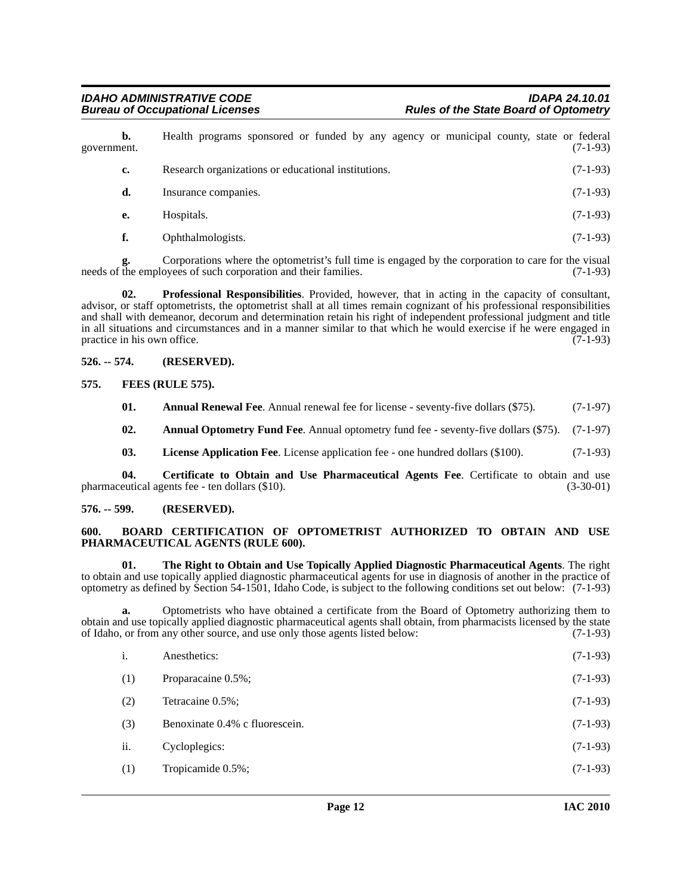**b.** Health programs sponsored or funded by any agency or municipal county, state or federal ent. (7-1-93) government. **c.** Research organizations or educational institutions. (7-1-93) **d.** Insurance companies. (7-1-93) **e.** Hospitals. (7-1-93)

<span id="page-11-10"></span>**f.** Ophthalmologists. (7-1-93)

Corporations where the optometrist's full time is engaged by the corporation to care for the visual ovees of such corporation and their families. (7-1-93) needs of the employees of such corporation and their families.

**02. Professional Responsibilities**. Provided, however, that in acting in the capacity of consultant, advisor, or staff optometrists, the optometrist shall at all times remain cognizant of his professional responsibilities and shall with demeanor, decorum and determination retain his right of independent professional judgment and title in all situations and circumstances and in a manner similar to that which he would exercise if he were engaged in practice in his own office. (7-1-93)

### <span id="page-11-0"></span>**526. -- 574. (RESERVED).**

### <span id="page-11-1"></span>**575. FEES (RULE 575).**

<span id="page-11-8"></span><span id="page-11-5"></span>**01.** Annual Renewal Fee. Annual renewal fee for license - seventy-five dollars (\$75). (7-1-97)

<span id="page-11-4"></span>**02. Annual Optometry Fund Fee**. Annual optometry fund fee - seventy-five dollars (\$75). (7-1-97)

<span id="page-11-9"></span><span id="page-11-7"></span>**03.** License Application Fee. License application fee - one hundred dollars (\$100). (7-1-93)

**04.** Certificate to Obtain and Use Pharmaceutical Agents Fee. Certificate to obtain and use eutical agents fee - ten dollars (\$10). (3-30-01) pharmaceutical agents fee - ten dollars (\$10).

### <span id="page-11-2"></span>**576. -- 599. (RESERVED).**

### <span id="page-11-6"></span><span id="page-11-3"></span>**600. BOARD CERTIFICATION OF OPTOMETRIST AUTHORIZED TO OBTAIN AND USE PHARMACEUTICAL AGENTS (RULE 600).**

<span id="page-11-11"></span>**01. The Right to Obtain and Use Topically Applied Diagnostic Pharmaceutical Agents**. The right to obtain and use topically applied diagnostic pharmaceutical agents for use in diagnosis of another in the practice of optometry as defined by Section 54-1501, Idaho Code, is subject to the following conditions set out below: (7-1-93)

**a.** Optometrists who have obtained a certificate from the Board of Optometry authorizing them to obtain and use topically applied diagnostic pharmaceutical agents shall obtain, from pharmacists licensed by the state of Idaho, or from any other source, and use only those agents listed below: (7-1-93)

| i.  | Anesthetics:                   | $(7-1-93)$ |
|-----|--------------------------------|------------|
| (1) | Proparacaine 0.5%;             | $(7-1-93)$ |
| (2) | Tetracaine 0.5%;               | $(7-1-93)$ |
| (3) | Benoxinate 0.4% c fluorescein. | $(7-1-93)$ |
| ii. | Cycloplegics:                  | $(7-1-93)$ |
| (1) | Tropicamide 0.5%;              | $(7-1-93)$ |
|     |                                |            |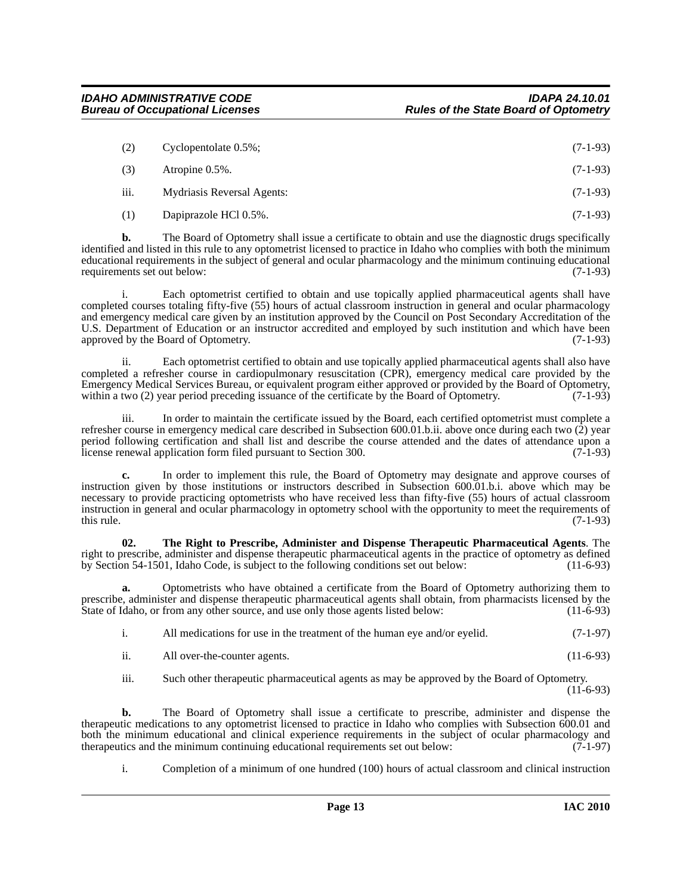| (2)  | Cyclopentolate $0.5\%$ ;   | $(7-1-93)$ |
|------|----------------------------|------------|
| (3)  | Atropine 0.5%.             | $(7-1-93)$ |
| iii. | Mydriasis Reversal Agents: | $(7-1-93)$ |
| (1)  | Dapiprazole HCl 0.5%.      | $(7-1-93)$ |

**b.** The Board of Optometry shall issue a certificate to obtain and use the diagnostic drugs specifically identified and listed in this rule to any optometrist licensed to practice in Idaho who complies with both the minimum educational requirements in the subject of general and ocular pharmacology and the minimum continuing educational requirements set out below: (7-1-93) requirements set out below:

i. Each optometrist certified to obtain and use topically applied pharmaceutical agents shall have completed courses totaling fifty-five (55) hours of actual classroom instruction in general and ocular pharmacology and emergency medical care given by an institution approved by the Council on Post Secondary Accreditation of the U.S. Department of Education or an instructor accredited and employed by such institution and which have been approved by the Board of Optometry. (7-1-93)

ii. Each optometrist certified to obtain and use topically applied pharmaceutical agents shall also have completed a refresher course in cardiopulmonary resuscitation (CPR), emergency medical care provided by the Emergency Medical Services Bureau, or equivalent program either approved or provided by the Board of Optometry, within a two (2) year period preceding issuance of the certificate by the Board of Optometry. (7-1-93)

iii. In order to maintain the certificate issued by the Board, each certified optometrist must complete a refresher course in emergency medical care described in Subsection 600.01.b.ii. above once during each two (2) year period following certification and shall list and describe the course attended and the dates of attendance upon a license renewal application form filed pursuant to Section 300. license renewal application form filed pursuant to Section 300.

**c.** In order to implement this rule, the Board of Optometry may designate and approve courses of instruction given by those institutions or instructors described in Subsection 600.01.b.i. above which may be necessary to provide practicing optometrists who have received less than fifty-five (55) hours of actual classroom instruction in general and ocular pharmacology in optometry school with the opportunity to meet the requirements of this rule. (7-1-93) this rule.  $(7-1-93)$ 

<span id="page-12-0"></span>**02. The Right to Prescribe, Administer and Dispense Therapeutic Pharmaceutical Agents**. The right to prescribe, administer and dispense therapeutic pharmaceutical agents in the practice of optometry as defined by Section 54-1501, Idaho Code, is subject to the following conditions set out below: (11-6-93)

**a.** Optometrists who have obtained a certificate from the Board of Optometry authorizing them to prescribe, administer and dispense therapeutic pharmaceutical agents shall obtain, from pharmacists licensed by the State of Idaho, or from any other source, and use only those agents listed below: (11-6-93)

| All medications for use in the treatment of the human eye and/or eyelid. | $(7-1-97)$ |
|--------------------------------------------------------------------------|------------|
|                                                                          |            |

| $(11-6-93)$<br>All over-the-counter agents.<br>11. |  |  |  |  |  |
|----------------------------------------------------|--|--|--|--|--|
|----------------------------------------------------|--|--|--|--|--|

iii. Such other therapeutic pharmaceutical agents as may be approved by the Board of Optometry.

 $(11 - 6 - 93)$ 

**b.** The Board of Optometry shall issue a certificate to prescribe, administer and dispense the therapeutic medications to any optometrist licensed to practice in Idaho who complies with Subsection 600.01 and both the minimum educational and clinical experience requirements in the subject of ocular pharmacology and therapeutics and the minimum continuing educational requirements set out below: (7-1-97) therapeutics and the minimum continuing educational requirements set out below:

i. Completion of a minimum of one hundred (100) hours of actual classroom and clinical instruction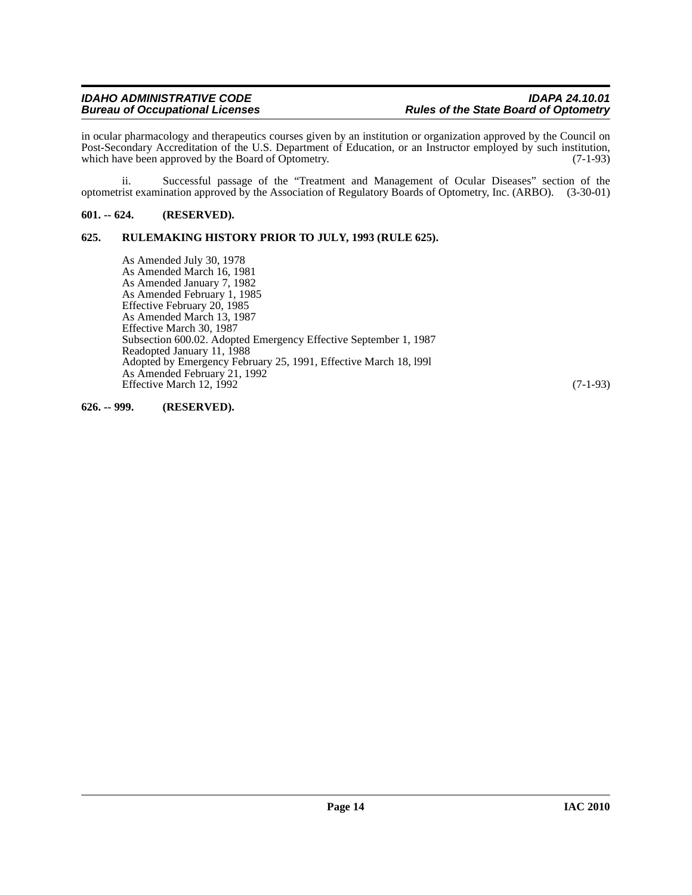in ocular pharmacology and therapeutics courses given by an institution or organization approved by the Council on Post-Secondary Accreditation of the U.S. Department of Education, or an Instructor employed by such institution, which have been approved by the Board of Optometry. (7-1-93)

ii. Successful passage of the "Treatment and Management of Ocular Diseases" section of the optometrist examination approved by the Association of Regulatory Boards of Optometry, Inc. (ARBO). (3-30-01)

### <span id="page-13-0"></span>**601. -- 624. (RESERVED).**

### <span id="page-13-1"></span>**625. RULEMAKING HISTORY PRIOR TO JULY, 1993 (RULE 625).**

As Amended July 30, 1978 As Amended March 16, 1981 As Amended January 7, 1982 As Amended February 1, 1985 Effective February 20, 1985 As Amended March 13, 1987 Effective March 30, 1987 Subsection 600.02. Adopted Emergency Effective September 1, 1987 Readopted January 11, 1988 Adopted by Emergency February 25, 1991, Effective March 18, l99l As Amended February 21, 1992 Effective March 12,  $1992$  (7-1-93)

### <span id="page-13-2"></span>**626. -- 999. (RESERVED).**